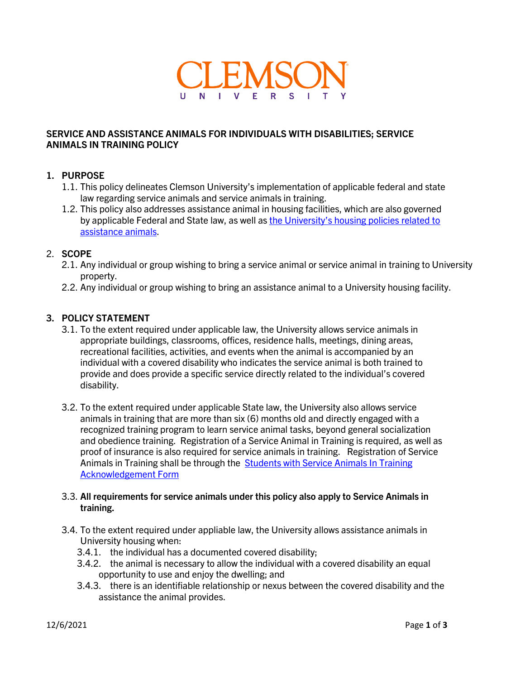

# **SERVICE AND ASSISTANCE ANIMALS FOR INDIVIDUALS WITH DISABILITIES; SERVICE ANIMALS IN TRAINING POLICY**

# **1. PURPOSE**

- 1.1. This policy delineates Clemson University's implementation of applicable federal and state law regarding service animals and service animals in training.
- 1.2. This policy also addresses assistance animal in housing facilities, which are also governed by applicable Federal and State law, as well as the University's housing policies related to [assistance animals.](https://www.clemson.edu/academics/studentaccess/guidelines.html)

# 2. **SCOPE**

- 2.1. Any individual or group wishing to bring a service animal or service animal in training to University property.
- 2.2. Any individual or group wishing to bring an assistance animal to a University housing facility.

## **3. POLICY STATEMENT**

- 3.1. To the extent required under applicable law, the University allows service animals in appropriate buildings, classrooms, offices, residence halls, meetings, dining areas, recreational facilities, activities, and events when the animal is accompanied by an individual with a covered disability who indicates the service animal is both trained to provide and does provide a specific service directly related to the individual's covered disability.
- 3.2. To the extent required under applicable State law, the University also allows service animals in training that are more than six (6) months old and directly engaged with a recognized training program to learn service animal tasks, beyond general socialization and obedience training. Registration of a Service Animal in Training is required, as well as proof of insurance is also required for service animals in training. Registration of Service Animals in Training shall be through the Students with Service Animals In Training [Acknowledgement Form](https://app.smartsheet.com/b/form/6c512647a38a4cca81b66c6d4af06ec4)

#### 3.3. **All requirements for service animals under this policy also apply to Service Animals in training.**

- 3.4. To the extent required under appliable law, the University allows assistance animals in University housing when:
	- 3.4.1. the individual has a documented covered disability;
	- 3.4.2. the animal is necessary to allow the individual with a covered disability an equal opportunity to use and enjoy the dwelling; and
	- 3.4.3. there is an identifiable relationship or nexus between the covered disability and the assistance the animal provides.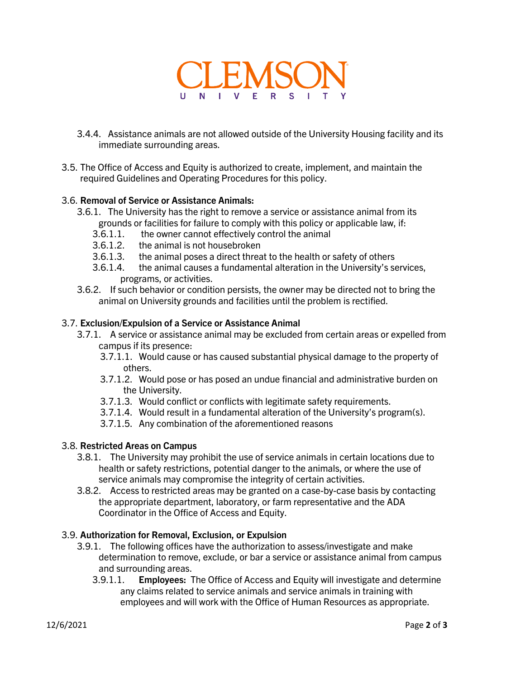

- 3.4.4. Assistance animals are not allowed outside of the University Housing facility and its immediate surrounding areas.
- 3.5. The Office of Access and Equity is authorized to create, implement, and maintain the required Guidelines and Operating Procedures for this policy.

## 3.6. **Removal of Service or Assistance Animals:**

- 3.6.1. The University has the right to remove a service or assistance animal from its grounds or facilities for failure to comply with this policy or applicable law, if:
	- 3.6.1.1. the owner cannot effectively control the animal
	- 3.6.1.2. the animal is not housebroken
	-
	- 3.6.1.3. the animal poses a direct threat to the health or safety of others<br>3.6.1.4. the animal causes a fundamental alteration in the University's se the animal causes a fundamental alteration in the University's services, programs, or activities.
- 3.6.2. If such behavior or condition persists, the owner may be directed not to bring the animal on University grounds and facilities until the problem is rectified.

#### 3.7. **Exclusion/Expulsion of a Service or Assistance Animal**

- 3.7.1. A service or assistance animal may be excluded from certain areas or expelled from campus if its presence:
	- 3.7.1.1. Would cause or has caused substantial physical damage to the property of others.
	- 3.7.1.2. Would pose or has posed an undue financial and administrative burden on the University.
	- 3.7.1.3. Would conflict or conflicts with legitimate safety requirements.
	- 3.7.1.4. Would result in a fundamental alteration of the University's program(s).
	- 3.7.1.5. Any combination of the aforementioned reasons

## 3.8. **Restricted Areas on Campus**

- 3.8.1. The University may prohibit the use of service animals in certain locations due to health or safety restrictions, potential danger to the animals, or where the use of service animals may compromise the integrity of certain activities.
- 3.8.2. Access to restricted areas may be granted on a case-by-case basis by contacting the appropriate department, laboratory, or farm representative and the ADA Coordinator in the Office of Access and Equity.

## 3.9. **Authorization for Removal, Exclusion, or Expulsion**

- 3.9.1. The following offices have the authorization to assess/investigate and make determination to remove, exclude, or bar a service or assistance animal from campus and surrounding areas.
	- 3.9.1.1. **Employees:** The Office of Access and Equity will investigate and determine any claims related to service animals and service animals in training with employees and will work with the Office of Human Resources as appropriate.